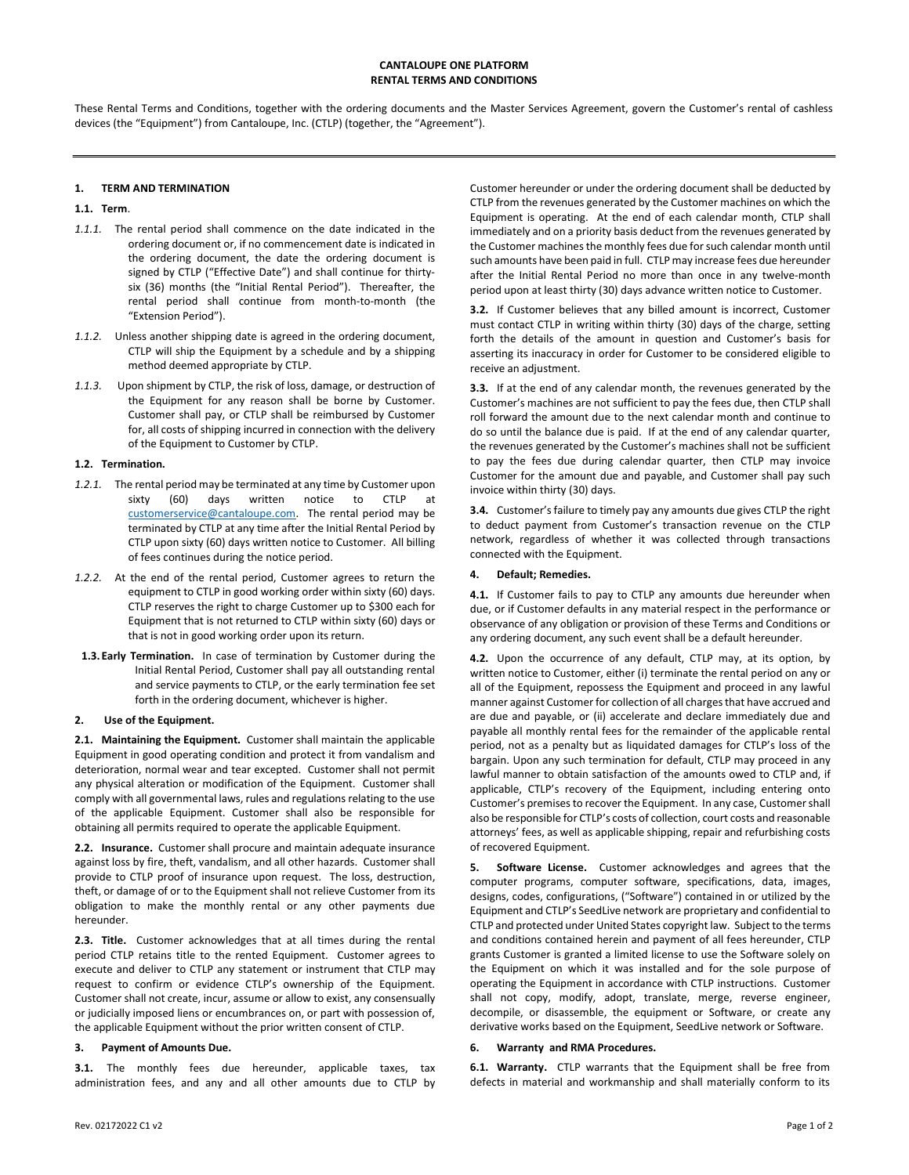These Rental Terms and Conditions, together with the ordering documents and the Master Services Agreement, govern the Customer's rental of cashless devices (the "Equipment") from Cantaloupe, Inc. (CTLP) (together, the "Agreement").

# 1. TERM AND TERMINATION

## 1.1. Term.

- 1.1.1. The rental period shall commence on the date indicated in the ordering document or, if no commencement date is indicated in the ordering document, the date the ordering document is signed by CTLP ("Effective Date") and shall continue for thirtysix (36) months (the "Initial Rental Period"). Thereafter, the rental period shall continue from month-to-month (the "Extension Period").
- 1.1.2. Unless another shipping date is agreed in the ordering document, CTLP will ship the Equipment by a schedule and by a shipping method deemed appropriate by CTLP.
- 1.1.3. Upon shipment by CTLP, the risk of loss, damage, or destruction of the Equipment for any reason shall be borne by Customer. Customer shall pay, or CTLP shall be reimbursed by Customer for, all costs of shipping incurred in connection with the delivery of the Equipment to Customer by CTLP.

### 1.2. Termination.

- 1.2.1. The rental period may be terminated at any time by Customer upon sixty (60) days written notice to CTLP at customerservice@cantaloupe.com. The rental period may be terminated by CTLP at any time after the Initial Rental Period by CTLP upon sixty (60) days written notice to Customer. All billing of fees continues during the notice period.
- 1.2.2. At the end of the rental period, Customer agrees to return the equipment to CTLP in good working order within sixty (60) days. CTLP reserves the right to charge Customer up to \$300 each for Equipment that is not returned to CTLP within sixty (60) days or that is not in good working order upon its return.
- 1.3. Early Termination. In case of termination by Customer during the Initial Rental Period, Customer shall pay all outstanding rental and service payments to CTLP, or the early termination fee set forth in the ordering document, whichever is higher.

### 2. Use of the Equipment.

2.1. Maintaining the Equipment. Customer shall maintain the applicable Equipment in good operating condition and protect it from vandalism and deterioration, normal wear and tear excepted. Customer shall not permit any physical alteration or modification of the Equipment. Customer shall comply with all governmental laws, rules and regulations relating to the use of the applicable Equipment. Customer shall also be responsible for obtaining all permits required to operate the applicable Equipment.

2.2. Insurance. Customer shall procure and maintain adequate insurance against loss by fire, theft, vandalism, and all other hazards. Customer shall provide to CTLP proof of insurance upon request. The loss, destruction, theft, or damage of or to the Equipment shall not relieve Customer from its obligation to make the monthly rental or any other payments due hereunder.

2.3. Title. Customer acknowledges that at all times during the rental period CTLP retains title to the rented Equipment. Customer agrees to execute and deliver to CTLP any statement or instrument that CTLP may request to confirm or evidence CTLP's ownership of the Equipment. Customer shall not create, incur, assume or allow to exist, any consensually or judicially imposed liens or encumbrances on, or part with possession of, the applicable Equipment without the prior written consent of CTLP.

### 3. Payment of Amounts Due.

3.1. The monthly fees due hereunder, applicable taxes, tax administration fees, and any and all other amounts due to CTLP by Customer hereunder or under the ordering document shall be deducted by CTLP from the revenues generated by the Customer machines on which the Equipment is operating. At the end of each calendar month, CTLP shall immediately and on a priority basis deduct from the revenues generated by the Customer machines the monthly fees due for such calendar month until such amounts have been paid in full. CTLP may increase fees due hereunder after the Initial Rental Period no more than once in any twelve-month period upon at least thirty (30) days advance written notice to Customer.

3.2. If Customer believes that any billed amount is incorrect, Customer must contact CTLP in writing within thirty (30) days of the charge, setting forth the details of the amount in question and Customer's basis for asserting its inaccuracy in order for Customer to be considered eligible to receive an adjustment.

3.3. If at the end of any calendar month, the revenues generated by the Customer's machines are not sufficient to pay the fees due, then CTLP shall roll forward the amount due to the next calendar month and continue to do so until the balance due is paid. If at the end of any calendar quarter, the revenues generated by the Customer's machines shall not be sufficient to pay the fees due during calendar quarter, then CTLP may invoice Customer for the amount due and payable, and Customer shall pay such invoice within thirty (30) days.

3.4. Customer's failure to timely pay any amounts due gives CTLP the right to deduct payment from Customer's transaction revenue on the CTLP network, regardless of whether it was collected through transactions connected with the Equipment.

### 4. Default; Remedies.

4.1. If Customer fails to pay to CTLP any amounts due hereunder when due, or if Customer defaults in any material respect in the performance or observance of any obligation or provision of these Terms and Conditions or any ordering document, any such event shall be a default hereunder.

4.2. Upon the occurrence of any default, CTLP may, at its option, by written notice to Customer, either (i) terminate the rental period on any or all of the Equipment, repossess the Equipment and proceed in any lawful manner against Customer for collection of all charges that have accrued and are due and payable, or (ii) accelerate and declare immediately due and payable all monthly rental fees for the remainder of the applicable rental period, not as a penalty but as liquidated damages for CTLP's loss of the bargain. Upon any such termination for default, CTLP may proceed in any lawful manner to obtain satisfaction of the amounts owed to CTLP and, if applicable, CTLP's recovery of the Equipment, including entering onto Customer's premises to recover the Equipment. In any case, Customer shall also be responsible for CTLP's costs of collection, court costs and reasonable attorneys' fees, as well as applicable shipping, repair and refurbishing costs of recovered Equipment.

5. Software License. Customer acknowledges and agrees that the computer programs, computer software, specifications, data, images, designs, codes, configurations, ("Software") contained in or utilized by the Equipment and CTLP's SeedLive network are proprietary and confidential to CTLP and protected under United States copyright law. Subject to the terms and conditions contained herein and payment of all fees hereunder, CTLP grants Customer is granted a limited license to use the Software solely on the Equipment on which it was installed and for the sole purpose of operating the Equipment in accordance with CTLP instructions. Customer shall not copy, modify, adopt, translate, merge, reverse engineer, decompile, or disassemble, the equipment or Software, or create any derivative works based on the Equipment, SeedLive network or Software.

### 6. Warranty and RMA Procedures.

6.1. Warranty. CTLP warrants that the Equipment shall be free from defects in material and workmanship and shall materially conform to its